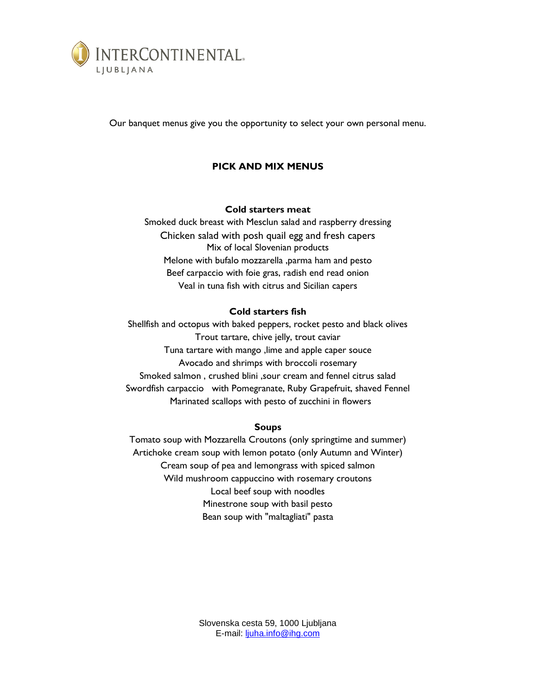

Our banquet menus give you the opportunity to select your own personal menu.

# **PICK AND MIX MENUS**

## **Cold starters meat**

Smoked duck breast with Mesclun salad and raspberry dressing Chicken salad with posh quail egg and fresh capers Mix of local Slovenian products Melone with bufalo mozzarella ,parma ham and pesto Beef carpaccio with foie gras, radish end read onion Veal in tuna fish with citrus and Sicilian capers

## **Cold starters fish**

Shellfish and octopus with baked peppers, rocket pesto and black olives Trout tartare, chive jelly, trout caviar Tuna tartare with mango ,lime and apple caper souce Avocado and shrimps with broccoli rosemary Smoked salmon , crushed blini ,sour cream and fennel citrus salad Swordfish carpaccio with Pomegranate, Ruby Grapefruit, shaved Fennel Marinated scallops with pesto of zucchini in flowers

## **Soups**

Tomato soup with Mozzarella Croutons (only springtime and summer) Artichoke cream soup with lemon potato (only Autumn and Winter) Cream soup of pea and lemongrass with spiced salmon Wild mushroom cappuccino with rosemary croutons Local beef soup with noodles Minestrone soup with basil pesto Bean soup with "maltagliati" pasta

> Slovenska cesta 59, 1000 Ljubljana E-mail: [ljuha.info@ihg.com](mailto:ljuha.info@ihg.com)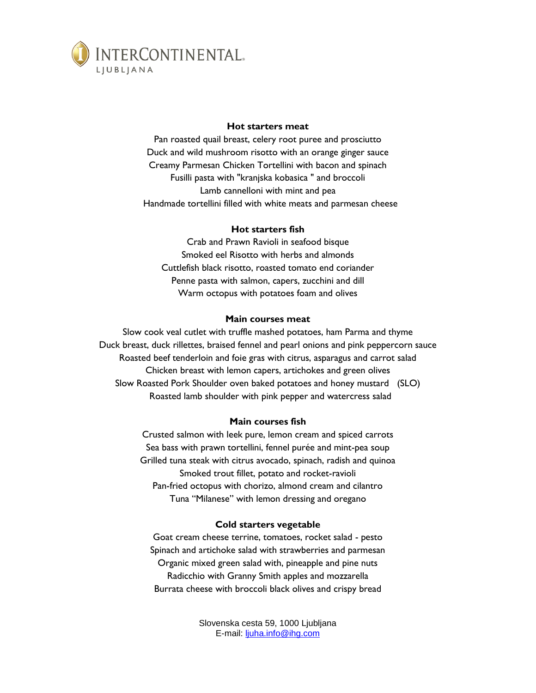

#### **Hot starters meat**

Pan roasted quail breast, celery root puree and prosciutto Duck and wild mushroom risotto with an orange ginger sauce Creamy Parmesan Chicken Tortellini with bacon and spinach Fusilli pasta with "kranjska kobasica " and broccoli Lamb cannelloni with mint and pea Handmade tortellini filled with white meats and parmesan cheese

#### **Hot starters fish**

Crab and Prawn Ravioli in seafood bisque Smoked eel Risotto with herbs and almonds Cuttlefish black risotto, roasted tomato end coriander Penne pasta with salmon, capers, zucchini and dill Warm octopus with potatoes foam and olives

#### **Main courses meat**

Slow cook veal cutlet with truffle mashed potatoes, ham Parma and thyme Duck breast, duck rillettes, braised fennel and pearl onions and pink peppercorn sauce Roasted beef tenderloin and foie gras with citrus, asparagus and carrot salad Chicken breast with lemon capers, artichokes and green olives Slow Roasted Pork Shoulder oven baked potatoes and honey mustard (SLO) Roasted lamb shoulder with pink pepper and watercress salad

#### **Main courses fish**

Crusted salmon with leek pure, lemon cream and spiced carrots Sea bass with prawn tortellini, fennel purée and mint-pea soup Grilled tuna steak with citrus avocado, spinach, radish and quinoa Smoked trout fillet, potato and rocket-ravioli Pan-fried octopus with chorizo, almond cream and cilantro Tuna "Milanese" with lemon dressing and oregano

#### **Cold starters vegetable**

Goat cream cheese terrine, tomatoes, rocket salad - pesto Spinach and artichoke salad with strawberries and parmesan Organic mixed green salad with, pineapple and pine nuts Radicchio with Granny Smith apples and mozzarella Burrata cheese with broccoli black olives and crispy bread

> Slovenska cesta 59, 1000 Ljubljana E-mail: [ljuha.info@ihg.com](mailto:ljuha.info@ihg.com)